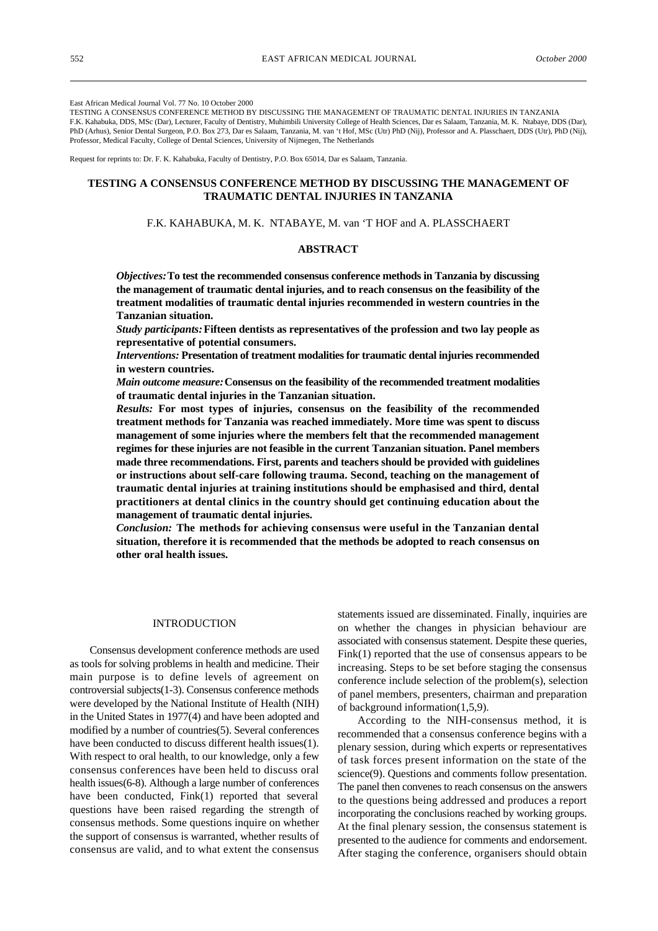East African Medical Journal Vol. 77 No. 10 October 2000

TESTING A CONSENSUS CONFERENCE METHOD BY DISCUSSING THE MANAGEMENT OF TRAUMATIC DENTAL INJURIES IN TANZANIA F.K. Kahabuka, DDS, MSc (Dar), Lecturer, Faculty of Dentistry, Muhimbili University College of Health Sciences, Dar es Salaam, Tanzania, M. K. Ntabaye, DDS (Dar), PhD (Arhus), Senior Dental Surgeon, P.O. Box 273, Dar es Salaam, Tanzania, M. van 't Hof, MSc (Utr) PhD (Nij), Professor and A. Plasschaert, DDS (Utr), PhD (Nij), Professor, Medical Faculty, College of Dental Sciences, University of Nijmegen, The Netherlands

Request for reprints to: Dr. F. K. Kahabuka, Faculty of Dentistry, P.O. Box 65014, Dar es Salaam, Tanzania.

## **TESTING A CONSENSUS CONFERENCE METHOD BY DISCUSSING THE MANAGEMENT OF TRAUMATIC DENTAL INJURIES IN TANZANIA**

F.K. KAHABUKA, M. K. NTABAYE, M. van 'T HOF and A. PLASSCHAERT

## **ABSTRACT**

*Objectives:* **To test the recommended consensus conference methods in Tanzania by discussing the management of traumatic dental injuries, and to reach consensus on the feasibility of the treatment modalities of traumatic dental injuries recommended in western countries in the Tanzanian situation.**

*Study participants:* **Fifteen dentists as representatives of the profession and two lay people as representative of potential consumers.**

*Interventions:* **Presentation of treatment modalities for traumatic dental injuries recommended in western countries.**

*Main outcome measure:* **Consensus on the feasibility of the recommended treatment modalities of traumatic dental injuries in the Tanzanian situation.**

*Results:* **For most types of injuries, consensus on the feasibility of the recommended treatment methods for Tanzania was reached immediately. More time was spent to discuss management of some injuries where the members felt that the recommended management regimes for these injuries are not feasible in the current Tanzanian situation. Panel members made three recommendations. First, parents and teachers should be provided with guidelines or instructions about self-care following trauma. Second, teaching on the management of traumatic dental injuries at training institutions should be emphasised and third, dental practitioners at dental clinics in the country should get continuing education about the management of traumatic dental injuries.**

*Conclusion:* **The methods for achieving consensus were useful in the Tanzanian dental situation, therefore it is recommended that the methods be adopted to reach consensus on other oral health issues.**

### INTRODUCTION

Consensus development conference methods are used as tools for solving problems in health and medicine. Their main purpose is to define levels of agreement on controversial subjects(1-3). Consensus conference methods were developed by the National Institute of Health (NIH) in the United States in 1977(4) and have been adopted and modified by a number of countries(5). Several conferences have been conducted to discuss different health issues(1). With respect to oral health, to our knowledge, only a few consensus conferences have been held to discuss oral health issues(6-8). Although a large number of conferences have been conducted, Fink(1) reported that several questions have been raised regarding the strength of consensus methods. Some questions inquire on whether the support of consensus is warranted, whether results of consensus are valid, and to what extent the consensus statements issued are disseminated. Finally, inquiries are on whether the changes in physician behaviour are associated with consensus statement. Despite these queries, Fink(1) reported that the use of consensus appears to be increasing. Steps to be set before staging the consensus conference include selection of the problem(s), selection of panel members, presenters, chairman and preparation of background information(1,5,9).

According to the NIH-consensus method, it is recommended that a consensus conference begins with a plenary session, during which experts or representatives of task forces present information on the state of the science(9). Questions and comments follow presentation. The panel then convenes to reach consensus on the answers to the questions being addressed and produces a report incorporating the conclusions reached by working groups. At the final plenary session, the consensus statement is presented to the audience for comments and endorsement. After staging the conference, organisers should obtain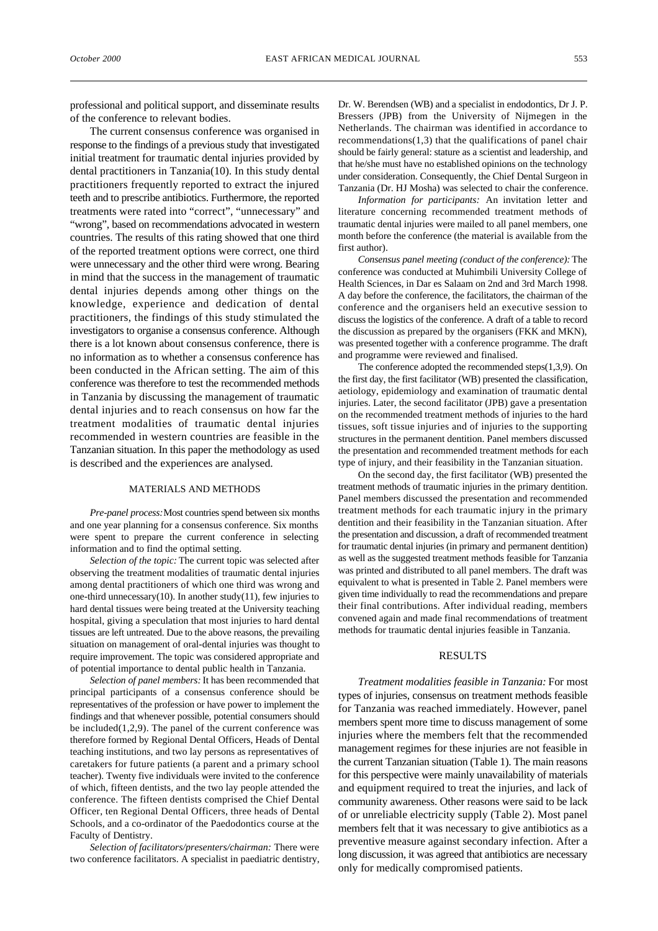professional and political support, and disseminate results of the conference to relevant bodies.

The current consensus conference was organised in response to the findings of a previous study that investigated initial treatment for traumatic dental injuries provided by dental practitioners in Tanzania(10). In this study dental practitioners frequently reported to extract the injured teeth and to prescribe antibiotics. Furthermore, the reported treatments were rated into "correct", "unnecessary" and "wrong", based on recommendations advocated in western countries. The results of this rating showed that one third of the reported treatment options were correct, one third were unnecessary and the other third were wrong. Bearing in mind that the success in the management of traumatic dental injuries depends among other things on the knowledge, experience and dedication of dental practitioners, the findings of this study stimulated the investigators to organise a consensus conference. Although there is a lot known about consensus conference, there is no information as to whether a consensus conference has been conducted in the African setting. The aim of this conference was therefore to test the recommended methods in Tanzania by discussing the management of traumatic dental injuries and to reach consensus on how far the treatment modalities of traumatic dental injuries recommended in western countries are feasible in the Tanzanian situation. In this paper the methodology as used is described and the experiences are analysed.

#### MATERIALS AND METHODS

*Pre-panel process:* Most countries spend between six months and one year planning for a consensus conference. Six months were spent to prepare the current conference in selecting information and to find the optimal setting.

*Selection of the topic:* The current topic was selected after observing the treatment modalities of traumatic dental injuries among dental practitioners of which one third was wrong and one-third unnecessary $(10)$ . In another study $(11)$ , few injuries to hard dental tissues were being treated at the University teaching hospital, giving a speculation that most injuries to hard dental tissues are left untreated. Due to the above reasons, the prevailing situation on management of oral-dental injuries was thought to require improvement. The topic was considered appropriate and of potential importance to dental public health in Tanzania.

*Selection of panel members:* It has been recommended that principal participants of a consensus conference should be representatives of the profession or have power to implement the findings and that whenever possible, potential consumers should be included(1,2,9). The panel of the current conference was therefore formed by Regional Dental Officers, Heads of Dental teaching institutions, and two lay persons as representatives of caretakers for future patients (a parent and a primary school teacher). Twenty five individuals were invited to the conference of which, fifteen dentists, and the two lay people attended the conference. The fifteen dentists comprised the Chief Dental Officer, ten Regional Dental Officers, three heads of Dental Schools, and a co-ordinator of the Paedodontics course at the Faculty of Dentistry.

*Selection of facilitators/presenters/chairman:* There were two conference facilitators. A specialist in paediatric dentistry, Dr. W. Berendsen (WB) and a specialist in endodontics, Dr J. P. Bressers (JPB) from the University of Nijmegen in the Netherlands. The chairman was identified in accordance to recommendations(1,3) that the qualifications of panel chair should be fairly general: stature as a scientist and leadership, and that he/she must have no established opinions on the technology under consideration. Consequently, the Chief Dental Surgeon in Tanzania (Dr. HJ Mosha) was selected to chair the conference.

*Information for participants:* An invitation letter and literature concerning recommended treatment methods of traumatic dental injuries were mailed to all panel members, one month before the conference (the material is available from the first author).

*Consensus panel meeting (conduct of the conference):* The conference was conducted at Muhimbili University College of Health Sciences, in Dar es Salaam on 2nd and 3rd March 1998. A day before the conference, the facilitators, the chairman of the conference and the organisers held an executive session to discuss the logistics of the conference. A draft of a table to record the discussion as prepared by the organisers (FKK and MKN), was presented together with a conference programme. The draft and programme were reviewed and finalised.

The conference adopted the recommended steps(1,3,9). On the first day, the first facilitator (WB) presented the classification, aetiology, epidemiology and examination of traumatic dental injuries. Later, the second facilitator (JPB) gave a presentation on the recommended treatment methods of injuries to the hard tissues, soft tissue injuries and of injuries to the supporting structures in the permanent dentition. Panel members discussed the presentation and recommended treatment methods for each type of injury, and their feasibility in the Tanzanian situation.

On the second day, the first facilitator (WB) presented the treatment methods of traumatic injuries in the primary dentition. Panel members discussed the presentation and recommended treatment methods for each traumatic injury in the primary dentition and their feasibility in the Tanzanian situation. After the presentation and discussion, a draft of recommended treatment for traumatic dental injuries (in primary and permanent dentition) as well as the suggested treatment methods feasible for Tanzania was printed and distributed to all panel members. The draft was equivalent to what is presented in Table 2. Panel members were given time individually to read the recommendations and prepare their final contributions. After individual reading, members convened again and made final recommendations of treatment methods for traumatic dental injuries feasible in Tanzania.

#### RESULTS

*Treatment modalities feasible in Tanzania:* For most types of injuries, consensus on treatment methods feasible for Tanzania was reached immediately. However, panel members spent more time to discuss management of some injuries where the members felt that the recommended management regimes for these injuries are not feasible in the current Tanzanian situation (Table 1). The main reasons for this perspective were mainly unavailability of materials and equipment required to treat the injuries, and lack of community awareness. Other reasons were said to be lack of or unreliable electricity supply (Table 2). Most panel members felt that it was necessary to give antibiotics as a preventive measure against secondary infection. After a long discussion, it was agreed that antibiotics are necessary only for medically compromised patients.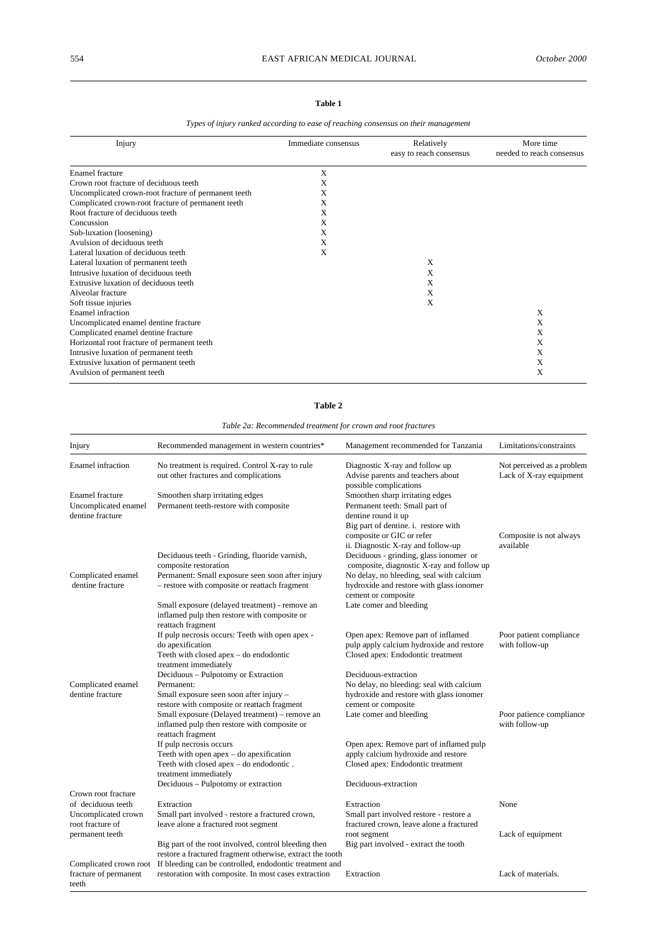# **Table 1**

| Injury                                               | Immediate consensus | Relatively<br>easy to reach consensus | More time<br>needed to reach consensus |
|------------------------------------------------------|---------------------|---------------------------------------|----------------------------------------|
| Enamel fracture                                      | X                   |                                       |                                        |
| Crown root fracture of deciduous teeth               | X                   |                                       |                                        |
| Uncomplicated crown-root fracture of permanent teeth | X                   |                                       |                                        |
| Complicated crown-root fracture of permanent teeth   | X                   |                                       |                                        |
| Root fracture of deciduous teeth                     | X                   |                                       |                                        |
| Concussion                                           | X                   |                                       |                                        |
| Sub-luxation (loosening)                             | X                   |                                       |                                        |
| Avulsion of deciduous teeth                          | X                   |                                       |                                        |
| Lateral luxation of deciduous teeth                  | X                   |                                       |                                        |
| Lateral luxation of permanent teeth                  |                     | X                                     |                                        |
| Intrusive luxation of deciduous teeth                |                     | X                                     |                                        |
| Extrusive luxation of deciduous teeth                |                     | X                                     |                                        |
| Alveolar fracture                                    |                     | X                                     |                                        |
| Soft tissue injuries                                 |                     | X                                     |                                        |
| Enamel infraction                                    |                     |                                       | X                                      |
| Uncomplicated enamel dentine fracture                |                     |                                       | X                                      |
| Complicated enamel dentine fracture                  |                     |                                       | X                                      |
| Horizontal root fracture of permanent teeth          |                     |                                       | X                                      |
| Intrusive luxation of permanent teeth                |                     |                                       | X                                      |
| Extrusive luxation of permanent teeth                |                     |                                       | X                                      |
| Avulsion of permanent teeth                          |                     |                                       | X                                      |

# **Table 2**

*Table 2a: Recommended treatment for crown and root fractures*

| Injury                                                             | Recommended management in western countries*                                                                                                                                | Management recommended for Tanzania                                                                                                                                                                               | Limitations/constraints                               |
|--------------------------------------------------------------------|-----------------------------------------------------------------------------------------------------------------------------------------------------------------------------|-------------------------------------------------------------------------------------------------------------------------------------------------------------------------------------------------------------------|-------------------------------------------------------|
| <b>Enamel</b> infraction                                           | No treatment is required. Control X-ray to rule<br>out other fractures and complications                                                                                    | Diagnostic X-ray and follow up<br>Advise parents and teachers about<br>possible complications                                                                                                                     | Not perceived as a problem<br>Lack of X-ray equipment |
| <b>Enamel</b> fracture<br>Uncomplicated enamel<br>dentine fracture | Smoothen sharp irritating edges<br>Permanent teeth-restore with composite                                                                                                   | Smoothen sharp irritating edges<br>Permanent teeth: Small part of<br>dentine round it up<br>Big part of dentine. i. restore with<br>composite or GIC or refer                                                     | Composite is not always                               |
| Complicated enamel<br>dentine fracture                             | Deciduous teeth - Grinding, fluoride varnish,<br>composite restoration<br>Permanent: Small exposure seen soon after injury<br>- restore with composite or reattach fragment | ii. Diagnostic X-ray and follow-up<br>Deciduous - grinding, glass ionomer or<br>composite, diagnostic X-ray and follow up<br>No delay, no bleeding, seal with calcium<br>hydroxide and restore with glass ionomer | available                                             |
|                                                                    | Small exposure (delayed treatment) - remove an<br>inflamed pulp then restore with composite or<br>reattach fragment                                                         | cement or composite<br>Late comer and bleeding                                                                                                                                                                    |                                                       |
|                                                                    | If pulp necrosis occurs: Teeth with open apex -<br>do apexification<br>Teeth with closed apex - do endodontic<br>treatment immediately                                      | Open apex: Remove part of inflamed<br>pulp apply calcium hydroxide and restore<br>Closed apex: Endodontic treatment                                                                                               | Poor patient compliance<br>with follow-up             |
| Complicated enamel<br>dentine fracture                             | Deciduous - Pulpotomy or Extraction<br>Permanent:<br>Small exposure seen soon after injury -<br>restore with composite or reattach fragment                                 | Deciduous-extraction<br>No delay, no bleeding: seal with calcium<br>hydroxide and restore with glass ionomer<br>cement or composite                                                                               |                                                       |
|                                                                    | Small exposure (Delayed treatment) - remove an<br>inflamed pulp then restore with composite or<br>reattach fragment                                                         | Late comer and bleeding                                                                                                                                                                                           | Poor patience compliance<br>with follow-up            |
|                                                                    | If pulp necrosis occurs<br>Teeth with open apex $-$ do apexification<br>Teeth with closed apex - do endodontic.<br>treatment immediately                                    | Open apex: Remove part of inflamed pulp<br>apply calcium hydroxide and restore<br>Closed apex: Endodontic treatment                                                                                               |                                                       |
|                                                                    | Deciduous - Pulpotomy or extraction                                                                                                                                         | Deciduous-extraction                                                                                                                                                                                              |                                                       |
| Crown root fracture<br>of deciduous teeth<br>Uncomplicated crown   | Extraction<br>Small part involved - restore a fractured crown,                                                                                                              | Extraction<br>Small part involved restore - restore a                                                                                                                                                             | None                                                  |
| root fracture of<br>permanent teeth                                | leave alone a fractured root segment<br>Big part of the root involved, control bleeding then                                                                                | fractured crown, leave alone a fractured<br>root segment<br>Big part involved - extract the tooth                                                                                                                 | Lack of equipment                                     |
| Complicated crown root                                             | restore a fractured fragment otherwise, extract the tooth<br>If bleeding can be controlled, endodontic treatment and                                                        |                                                                                                                                                                                                                   |                                                       |
| fracture of permanent<br>teeth                                     | restoration with composite. In most cases extraction                                                                                                                        | Extraction                                                                                                                                                                                                        | Lack of materials.                                    |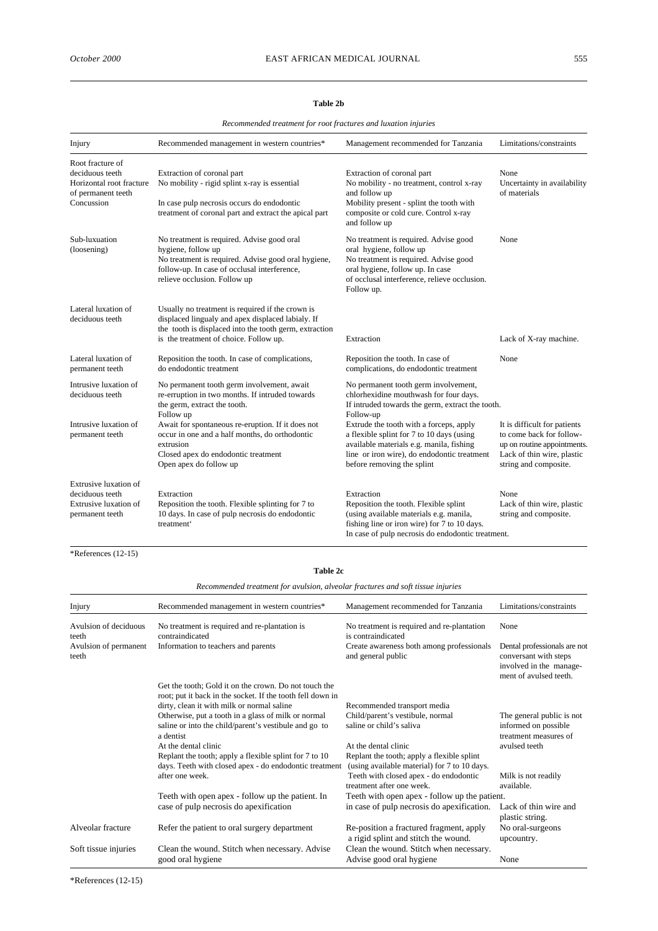### **Table 2b**

# *Recommended treatment for root fractures and luxation injuries*

| Injury                                                                                              | Recommended management in western countries*                                                                                                                                                              | Management recommended for Tanzania                                                                                                                                                                           | Limitations/constraints                                                                                                                        |
|-----------------------------------------------------------------------------------------------------|-----------------------------------------------------------------------------------------------------------------------------------------------------------------------------------------------------------|---------------------------------------------------------------------------------------------------------------------------------------------------------------------------------------------------------------|------------------------------------------------------------------------------------------------------------------------------------------------|
| Root fracture of<br>deciduous teeth<br>Horizontal root fracture<br>of permanent teeth<br>Concussion | Extraction of coronal part<br>No mobility - rigid splint x-ray is essential<br>In case pulp necrosis occurs do endodontic<br>treatment of coronal part and extract the apical part                        | Extraction of coronal part<br>No mobility - no treatment, control x-ray<br>and follow up<br>Mobility present - splint the tooth with<br>composite or cold cure. Control x-ray<br>and follow up                | None<br>Uncertainty in availability<br>of materials                                                                                            |
| Sub-luxuation<br>(loosening)                                                                        | No treatment is required. Advise good oral<br>hygiene, follow up<br>No treatment is required. Advise good oral hygiene,<br>follow-up. In case of occlusal interference,<br>relieve occlusion. Follow up   | No treatment is required. Advise good<br>oral hygiene, follow up<br>No treatment is required. Advise good<br>oral hygiene, follow up. In case<br>of occlusal interference, relieve occlusion.<br>Follow up.   | None                                                                                                                                           |
| Lateral luxation of<br>deciduous teeth                                                              | Usually no treatment is required if the crown is<br>displaced lingualy and apex displaced labialy. If<br>the tooth is displaced into the tooth germ, extraction<br>is the treatment of choice. Follow up. | Extraction                                                                                                                                                                                                    | Lack of X-ray machine.                                                                                                                         |
| Lateral luxation of<br>permanent teeth                                                              | Reposition the tooth. In case of complications,<br>do endodontic treatment                                                                                                                                | Reposition the tooth. In case of<br>complications, do endodontic treatment                                                                                                                                    | None                                                                                                                                           |
| Intrusive luxation of<br>deciduous teeth                                                            | No permanent tooth germ involvement, await<br>re-erruption in two months. If intruded towards<br>the germ, extract the tooth.<br>Follow up                                                                | No permanent tooth germ involvement,<br>chlorhexidine mouthwash for four days.<br>If intruded towards the germ, extract the tooth.<br>Follow-up                                                               |                                                                                                                                                |
| Intrusive luxation of<br>permanent teeth                                                            | Await for spontaneous re-eruption. If it does not<br>occur in one and a half months, do orthodontic<br>extrusion<br>Closed apex do endodontic treatment<br>Open apex do follow up                         | Extrude the tooth with a forceps, apply<br>a flexible splint for 7 to 10 days (using<br>available materials e.g. manila, fishing<br>line or iron wire), do endodontic treatment<br>before removing the splint | It is difficult for patients<br>to come back for follow-<br>up on routine appointments.<br>Lack of thin wire, plastic<br>string and composite. |
| Extrusive luxation of<br>deciduous teeth<br>Extrusive luxation of<br>permanent teeth                | Extraction<br>Reposition the tooth. Flexible splinting for 7 to<br>10 days. In case of pulp necrosis do endodontic<br>treatment <sup>*</sup>                                                              | Extraction<br>Reposition the tooth. Flexible splint<br>(using available materials e.g. manila,<br>fishing line or iron wire) for 7 to 10 days.<br>In case of pulp necrosis do endodontic treatment.           | None<br>Lack of thin wire, plastic<br>string and composite.                                                                                    |

\*References  $(12-15)$ 

### **Table 2c**

| Recommended treatment for avulsion, alveolar fractures and soft tissue injuries |                                                                                                                     |                                                                                            |                                                                                                            |  |  |
|---------------------------------------------------------------------------------|---------------------------------------------------------------------------------------------------------------------|--------------------------------------------------------------------------------------------|------------------------------------------------------------------------------------------------------------|--|--|
| Injury                                                                          | Recommended management in western countries*                                                                        | Management recommended for Tanzania                                                        | Limitations/constraints                                                                                    |  |  |
| Avulsion of deciduous<br>teeth                                                  | No treatment is required and re-plantation is<br>contraindicated                                                    | No treatment is required and re-plantation<br>is contraindicated                           | None                                                                                                       |  |  |
| Avulsion of permanent<br>teeth                                                  | Information to teachers and parents                                                                                 | Create awareness both among professionals<br>and general public                            | Dental professionals are not<br>conversant with steps<br>involved in the manage-<br>ment of avulsed teeth. |  |  |
|                                                                                 | Get the tooth: Gold it on the crown. Do not touch the<br>root; put it back in the socket. If the tooth fell down in |                                                                                            |                                                                                                            |  |  |
|                                                                                 | dirty, clean it with milk or normal saline                                                                          | Recommended transport media                                                                |                                                                                                            |  |  |
|                                                                                 | Otherwise, put a tooth in a glass of milk or normal                                                                 | Child/parent's vestibule, normal                                                           | The general public is not                                                                                  |  |  |
|                                                                                 | saline or into the child/parent's vestibule and go to<br>a dentist                                                  | saline or child's saliva                                                                   | informed on possible<br>treatment measures of                                                              |  |  |
|                                                                                 | At the dental clinic                                                                                                | At the dental clinic                                                                       | avulsed teeth                                                                                              |  |  |
|                                                                                 | Replant the tooth; apply a flexible splint for 7 to 10<br>days. Teeth with closed apex - do endodontic treatment    | Replant the tooth; apply a flexible splint<br>(using available material) for 7 to 10 days. |                                                                                                            |  |  |
|                                                                                 | after one week.                                                                                                     | Teeth with closed apex - do endodontic<br>treatment after one week.                        | Milk is not readily<br>available.                                                                          |  |  |
|                                                                                 | Teeth with open apex - follow up the patient. In                                                                    | Teeth with open apex - follow up the patient.                                              |                                                                                                            |  |  |
|                                                                                 | case of pulp necrosis do apexification                                                                              | in case of pulp necrosis do apexification.                                                 | Lack of thin wire and<br>plastic string.                                                                   |  |  |
| Alveolar fracture                                                               | Refer the patient to oral surgery department                                                                        | Re-position a fractured fragment, apply<br>a rigid splint and stitch the wound.            | No oral-surgeons<br>upcountry.                                                                             |  |  |
| Soft tissue injuries                                                            | Clean the wound. Stitch when necessary. Advise                                                                      | Clean the wound. Stitch when necessary.                                                    |                                                                                                            |  |  |
|                                                                                 | good oral hygiene                                                                                                   | Advise good oral hygiene                                                                   | None                                                                                                       |  |  |

\*References (12-15)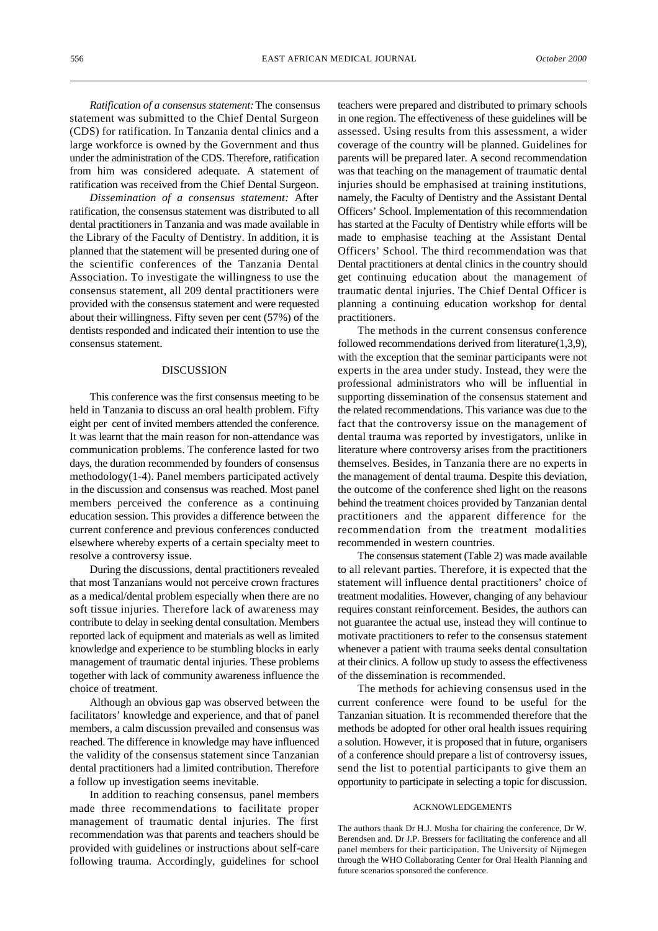*Ratification of a consensus statement:* The consensus statement was submitted to the Chief Dental Surgeon (CDS) for ratification. In Tanzania dental clinics and a large workforce is owned by the Government and thus under the administration of the CDS. Therefore, ratification from him was considered adequate. A statement of ratification was received from the Chief Dental Surgeon.

*Dissemination of a consensus statement:* After ratification, the consensus statement was distributed to all dental practitioners in Tanzania and was made available in the Library of the Faculty of Dentistry. In addition, it is planned that the statement will be presented during one of the scientific conferences of the Tanzania Dental Association. To investigate the willingness to use the consensus statement, all 209 dental practitioners were provided with the consensus statement and were requested about their willingness. Fifty seven per cent (57%) of the dentists responded and indicated their intention to use the consensus statement.

## DISCUSSION

This conference was the first consensus meeting to be held in Tanzania to discuss an oral health problem. Fifty eight per cent of invited members attended the conference. It was learnt that the main reason for non-attendance was communication problems. The conference lasted for two days, the duration recommended by founders of consensus methodology(1-4). Panel members participated actively in the discussion and consensus was reached. Most panel members perceived the conference as a continuing education session. This provides a difference between the current conference and previous conferences conducted elsewhere whereby experts of a certain specialty meet to resolve a controversy issue.

During the discussions, dental practitioners revealed that most Tanzanians would not perceive crown fractures as a medical/dental problem especially when there are no soft tissue injuries. Therefore lack of awareness may contribute to delay in seeking dental consultation. Members reported lack of equipment and materials as well as limited knowledge and experience to be stumbling blocks in early management of traumatic dental injuries. These problems together with lack of community awareness influence the choice of treatment.

Although an obvious gap was observed between the facilitators' knowledge and experience, and that of panel members, a calm discussion prevailed and consensus was reached. The difference in knowledge may have influenced the validity of the consensus statement since Tanzanian dental practitioners had a limited contribution. Therefore a follow up investigation seems inevitable.

In addition to reaching consensus, panel members made three recommendations to facilitate proper management of traumatic dental injuries. The first recommendation was that parents and teachers should be provided with guidelines or instructions about self-care following trauma. Accordingly, guidelines for school teachers were prepared and distributed to primary schools in one region. The effectiveness of these guidelines will be assessed. Using results from this assessment, a wider coverage of the country will be planned. Guidelines for parents will be prepared later. A second recommendation was that teaching on the management of traumatic dental injuries should be emphasised at training institutions, namely, the Faculty of Dentistry and the Assistant Dental Officers' School. Implementation of this recommendation has started at the Faculty of Dentistry while efforts will be made to emphasise teaching at the Assistant Dental Officers' School. The third recommendation was that Dental practitioners at dental clinics in the country should get continuing education about the management of traumatic dental injuries. The Chief Dental Officer is planning a continuing education workshop for dental practitioners.

The methods in the current consensus conference followed recommendations derived from literature(1,3,9), with the exception that the seminar participants were not experts in the area under study. Instead, they were the professional administrators who will be influential in supporting dissemination of the consensus statement and the related recommendations. This variance was due to the fact that the controversy issue on the management of dental trauma was reported by investigators, unlike in literature where controversy arises from the practitioners themselves. Besides, in Tanzania there are no experts in the management of dental trauma. Despite this deviation, the outcome of the conference shed light on the reasons behind the treatment choices provided by Tanzanian dental practitioners and the apparent difference for the recommendation from the treatment modalities recommended in western countries.

The consensus statement (Table 2) was made available to all relevant parties. Therefore, it is expected that the statement will influence dental practitioners' choice of treatment modalities. However, changing of any behaviour requires constant reinforcement. Besides, the authors can not guarantee the actual use, instead they will continue to motivate practitioners to refer to the consensus statement whenever a patient with trauma seeks dental consultation at their clinics. A follow up study to assess the effectiveness of the dissemination is recommended.

The methods for achieving consensus used in the current conference were found to be useful for the Tanzanian situation. It is recommended therefore that the methods be adopted for other oral health issues requiring a solution. However, it is proposed that in future, organisers of a conference should prepare a list of controversy issues, send the list to potential participants to give them an opportunity to participate in selecting a topic for discussion.

#### ACKNOWLEDGEMENTS

The authors thank Dr H.J. Mosha for chairing the conference, Dr W. Berendsen and. Dr J.P. Bressers for facilitating the conference and all panel members for their participation. The University of Nijmegen through the WHO Collaborating Center for Oral Health Planning and future scenarios sponsored the conference.